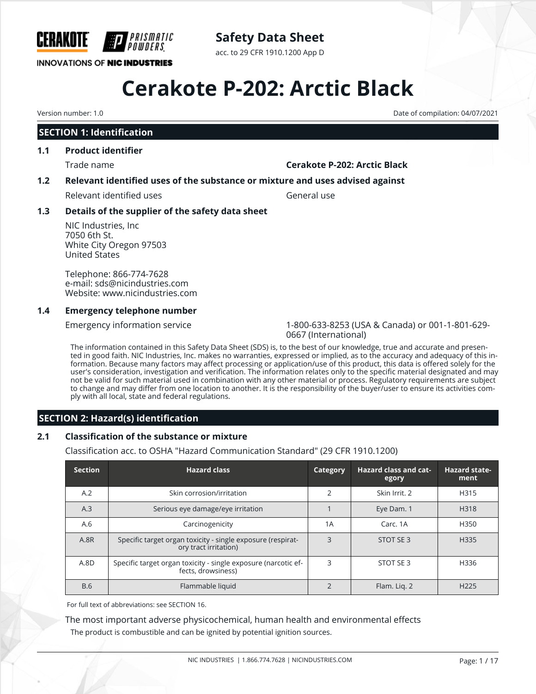

# **Safety Data Sheet**

acc. to 29 CFR 1910.1200 App D

# **Cerakote P-202: Arctic Black**

# **SECTION 1: Identification**

# **1.1 Product identifier**

# Trade name **Cerakote P-202: Arctic Black**

# **1.2 Relevant identified uses of the substance or mixture and uses advised against**

Relevant identified uses General use

# **1.3 Details of the supplier of the safety data sheet**

NIC Industries, Inc 7050 6th St. White City Oregon 97503 United States

Telephone: 866-774-7628 e-mail: sds@nicindustries.com Website: www.nicindustries.com

# **1.4 Emergency telephone number**

Emergency information service 1-800-633-8253 (USA & Canada) or 001-1-801-629- 0667 (International)

The information contained in this Safety Data Sheet (SDS) is, to the best of our knowledge, true and accurate and presented in good faith. NIC Industries, Inc. makes no warranties, expressed or implied, as to the accuracy and adequacy of this information. Because many factors may affect processing or application/use of this product, this data is offered solely for the user's consideration, investigation and verification. The information relates only to the specific material designated and may not be valid for such material used in combination with any other material or process. Regulatory requirements are subject to change and may differ from one location to another. It is the responsibility of the buyer/user to ensure its activities comply with all local, state and federal regulations.

# **SECTION 2: Hazard(s) identification**

# **2.1 Classification of the substance or mixture**

Classification acc. to OSHA "Hazard Communication Standard" (29 CFR 1910.1200)

| <b>Section</b> | <b>Hazard class</b>                                                                  | Category       | <b>Hazard class and cat-</b><br>egory | <b>Hazard state-</b><br>ment |
|----------------|--------------------------------------------------------------------------------------|----------------|---------------------------------------|------------------------------|
| A.2            | Skin corrosion/irritation                                                            | 2              | Skin Irrit, 2                         | H315                         |
| A.3            | Serious eye damage/eye irritation                                                    |                | Eye Dam. 1                            | H318                         |
| A.6            | Carcinogenicity                                                                      | 1A             | Carc, 1A                              | H350                         |
| A.8R           | Specific target organ toxicity - single exposure (respirat-<br>ory tract irritation) | 3              | STOT SE 3                             | H335                         |
| A.8D           | Specific target organ toxicity - single exposure (narcotic ef-<br>fects, drowsiness) | 3              | STOT SE 3                             | H336                         |
| <b>B.6</b>     | Flammable liquid                                                                     | $\overline{2}$ | Flam. Lig. 2                          | H <sub>225</sub>             |

For full text of abbreviations: see SECTION 16.

The most important adverse physicochemical, human health and environmental effects

The product is combustible and can be ignited by potential ignition sources.

Version number: 1.0 Date of compilation: 04/07/2021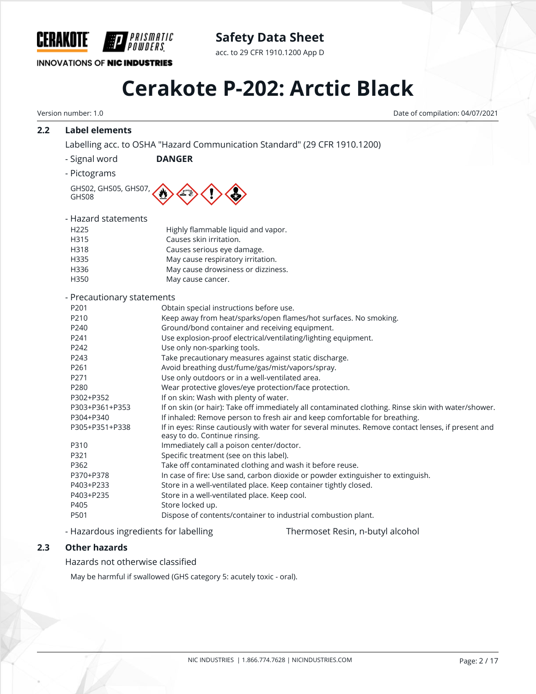

# **Safety Data Sheet**

acc. to 29 CFR 1910.1200 App D

# **Cerakote P-202: Arctic Black**

Version number: 1.0 Date of compilation: 04/07/2021

# **2.2 Label elements**

Labelling acc. to OSHA "Hazard Communication Standard" (29 CFR 1910.1200)

- Signal word **DANGER**
- Pictograms

GHS02, GHS05, GHS07, GHS08

| - Hazard statements        |                                                                  |
|----------------------------|------------------------------------------------------------------|
| H <sub>225</sub>           | Highly flammable liquid and vapor.                               |
| H315                       | Causes skin irritation.                                          |
| H318                       | Causes serious eye damage.                                       |
| H335                       | May cause respiratory irritation.                                |
| H336                       | May cause drowsiness or dizziness.                               |
| H350                       | May cause cancer.                                                |
| - Precautionary statements |                                                                  |
| P <sub>201</sub>           | Obtain special instructions before use.                          |
| P210                       | Keep away from heat/sparks/open flames/hot surfaces. No smoking. |
| P240                       | Ground/bond container and receiving equipment.                   |
| P <sub>241</sub>           | Use explosion-proof electrical/ventilating/lighting equipment.   |
| P242                       | Use only non-sparking tools.                                     |
| P243                       | Take precautionary measures against static discharge.            |
| P <sub>261</sub>           | Avoid breathing dust/fume/gas/mist/vapors/spray.                 |

- P271 Use only outdoors or in a well-ventilated area.
- P280 Wear protective gloves/eye protection/face protection.
- P302+P352 If on skin: Wash with plenty of water.

| P303+P361+P353 | If on skin (or hair): Take off immediately all contaminated clothing. Rinse skin with water/shower.                                 |
|----------------|-------------------------------------------------------------------------------------------------------------------------------------|
| P304+P340      | If inhaled: Remove person to fresh air and keep comfortable for breathing.                                                          |
| P305+P351+P338 | If in eyes: Rinse cautiously with water for several minutes. Remove contact lenses, if present and<br>easy to do. Continue rinsing. |
| P310           | Immediately call a poison center/doctor.                                                                                            |

| ۲.JIU | immediately call a poison center/doctor. |
|-------|------------------------------------------|
| P321  | Specific treatment (see on this label).  |
|       |                                          |

- P362 Take off contaminated clothing and wash it before reuse.
- P370+P378 In case of fire: Use sand, carbon dioxide or powder extinguisher to extinguish.
- P403+P233 Store in a well-ventilated place. Keep container tightly closed.
- P403+P235 Store in a well-ventilated place. Keep cool. P405 Store locked up.
- P501 Dispose of contents/container to industrial combustion plant.
- Hazardous ingredients for labelling Thermoset Resin, n-butyl alcohol

# **2.3 Other hazards**

Hazards not otherwise classified

May be harmful if swallowed (GHS category 5: acutely toxic - oral).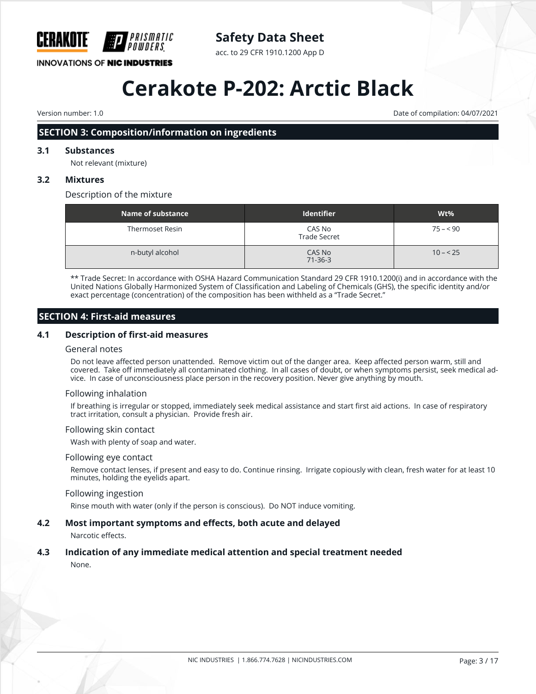

# **Safety Data Sheet**

acc. to 29 CFR 1910.1200 App D

# **Cerakote P-202: Arctic Black**

Version number: 1.0 Date of compilation: 04/07/2021

# **SECTION 3: Composition/information on ingredients**

# **3.1 Substances**

Not relevant (mixture)

# **3.2 Mixtures**

Description of the mixture

| Name of substance | <b>Identifier</b>             | Wt%       |
|-------------------|-------------------------------|-----------|
| Thermoset Resin   | CAS No<br><b>Trade Secret</b> | $75 - 90$ |
| n-butyl alcohol   | CAS No<br>$71 - 36 - 3$       | $10 - 25$ |

\*\* Trade Secret: In accordance with OSHA Hazard Communication Standard 29 CFR 1910.1200(i) and in accordance with the United Nations Globally Harmonized System of Classification and Labeling of Chemicals (GHS), the specific identity and/or exact percentage (concentration) of the composition has been withheld as a "Trade Secret."

# **SECTION 4: First-aid measures**

# **4.1 Description of first-aid measures**

#### General notes

Do not leave affected person unattended. Remove victim out of the danger area. Keep affected person warm, still and covered. Take off immediately all contaminated clothing. In all cases of doubt, or when symptoms persist, seek medical advice. In case of unconsciousness place person in the recovery position. Never give anything by mouth.

## Following inhalation

If breathing is irregular or stopped, immediately seek medical assistance and start first aid actions. In case of respiratory tract irritation, consult a physician. Provide fresh air.

## Following skin contact

Wash with plenty of soap and water.

#### Following eye contact

Remove contact lenses, if present and easy to do. Continue rinsing. Irrigate copiously with clean, fresh water for at least 10 minutes, holding the eyelids apart.

## Following ingestion

Rinse mouth with water (only if the person is conscious). Do NOT induce vomiting.

## **4.2 Most important symptoms and effects, both acute and delayed**

Narcotic effects.

## **4.3 Indication of any immediate medical attention and special treatment needed**

None.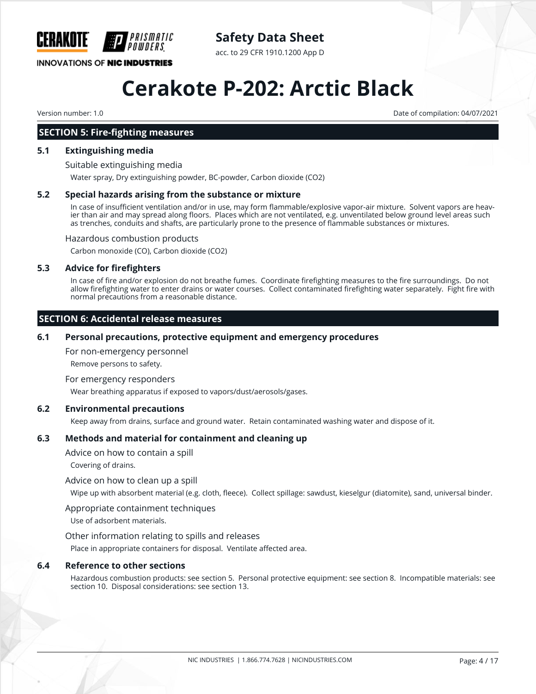

**Safety Data Sheet**

acc. to 29 CFR 1910.1200 App D

# **Cerakote P-202: Arctic Black**

Version number: 1.0 Date of compilation: 04/07/2021

# **SECTION 5: Fire-fighting measures**

#### **5.1 Extinguishing media**

Suitable extinguishing media

Water spray, Dry extinguishing powder, BC-powder, Carbon dioxide (CO2)

#### **5.2 Special hazards arising from the substance or mixture**

In case of insufficient ventilation and/or in use, may form flammable/explosive vapor-air mixture. Solvent vapors are heavier than air and may spread along floors. Places which are not ventilated, e.g. unventilated below ground level areas such as trenches, conduits and shafts, are particularly prone to the presence of flammable substances or mixtures.

Hazardous combustion products

Carbon monoxide (CO), Carbon dioxide (CO2)

#### **5.3 Advice for firefighters**

In case of fire and/or explosion do not breathe fumes. Coordinate firefighting measures to the fire surroundings. Do not allow firefighting water to enter drains or water courses. Collect contaminated firefighting water separately. Fight fire with normal precautions from a reasonable distance.

# **SECTION 6: Accidental release measures**

#### **6.1 Personal precautions, protective equipment and emergency procedures**

For non-emergency personnel

Remove persons to safety.

For emergency responders

Wear breathing apparatus if exposed to vapors/dust/aerosols/gases.

## **6.2 Environmental precautions**

Keep away from drains, surface and ground water. Retain contaminated washing water and dispose of it.

# **6.3 Methods and material for containment and cleaning up**

Advice on how to contain a spill

Covering of drains.

Advice on how to clean up a spill

Wipe up with absorbent material (e.g. cloth, fleece). Collect spillage: sawdust, kieselgur (diatomite), sand, universal binder.

#### Appropriate containment techniques

Use of adsorbent materials.

Other information relating to spills and releases

Place in appropriate containers for disposal. Ventilate affected area.

#### **6.4 Reference to other sections**

Hazardous combustion products: see section 5. Personal protective equipment: see section 8. Incompatible materials: see section 10. Disposal considerations: see section 13.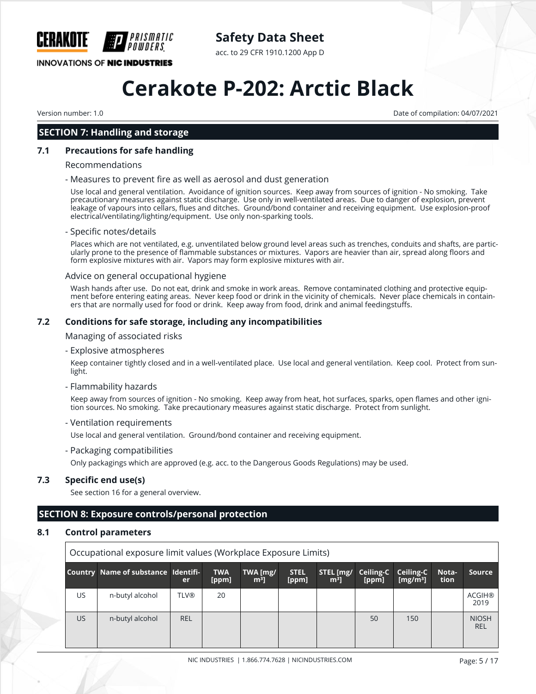

**Safety Data Sheet**

acc. to 29 CFR 1910.1200 App D

# **Cerakote P-202: Arctic Black**

Version number: 1.0 Date of compilation: 04/07/2021

# **SECTION 7: Handling and storage**

# **7.1 Precautions for safe handling**

#### Recommendations

#### - Measures to prevent fire as well as aerosol and dust generation

Use local and general ventilation. Avoidance of ignition sources. Keep away from sources of ignition - No smoking. Take precautionary measures against static discharge. Use only in well-ventilated areas. Due to danger of explosion, prevent leakage of vapours into cellars, flues and ditches. Ground/bond container and receiving equipment. Use explosion-proof electrical/ventilating/lighting/equipment. Use only non-sparking tools.

#### - Specific notes/details

Places which are not ventilated, e.g. unventilated below ground level areas such as trenches, conduits and shafts, are particularly prone to the presence of flammable substances or mixtures. Vapors are heavier than air, spread along floors and form explosive mixtures with air. Vapors may form explosive mixtures with air.

#### Advice on general occupational hygiene

Wash hands after use. Do not eat, drink and smoke in work areas. Remove contaminated clothing and protective equipment before entering eating areas. Never keep food or drink in the vicinity of chemicals. Never place chemicals in containers that are normally used for food or drink. Keep away from food, drink and animal feedingstuffs.

## **7.2 Conditions for safe storage, including any incompatibilities**

Managing of associated risks

- Explosive atmospheres

Keep container tightly closed and in a well-ventilated place. Use local and general ventilation. Keep cool. Protect from sunlight.

#### - Flammability hazards

Keep away from sources of ignition - No smoking. Keep away from heat, hot surfaces, sparks, open flames and other ignition sources. No smoking. Take precautionary measures against static discharge. Protect from sunlight.

#### - Ventilation requirements

Use local and general ventilation. Ground/bond container and receiving equipment.

- Packaging compatibilities

Only packagings which are approved (e.g. acc. to the Dangerous Goods Regulations) may be used.

## **7.3 Specific end use(s)**

See section 16 for a general overview.

# **SECTION 8: Exposure controls/personal protection**

# **8.1 Control parameters**

| Occupational exposure limit values (Workplace Exposure Limits) |                                     |             |                     |                            |                      |                             |                    |                          |               |                       |
|----------------------------------------------------------------|-------------------------------------|-------------|---------------------|----------------------------|----------------------|-----------------------------|--------------------|--------------------------|---------------|-----------------------|
|                                                                | Country Name of substance Identifi- | er          | <b>TWA</b><br>[ppm] | TWA [mg/<br>m <sup>3</sup> | <b>STEL</b><br>[ppm] | STEL [mg/<br>m <sup>3</sup> | Ceiling-C<br>[ppm] | Ceiling-C<br>[ $mg/m3$ ] | Nota-<br>tion | Source                |
| US                                                             | n-butyl alcohol                     | <b>TLV®</b> | 20                  |                            |                      |                             |                    |                          |               | <b>ACGIH®</b><br>2019 |
| US.                                                            | n-butyl alcohol                     | <b>REL</b>  |                     |                            |                      |                             | 50                 | 150                      |               | <b>NIOSH</b><br>REL   |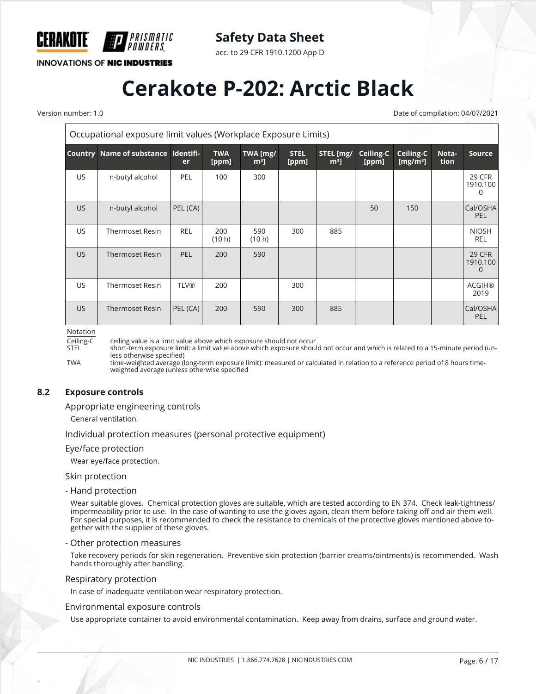

acc. to 29 CFR 1910.1200 App D

**INNOVATIONS OF NIC INDUSTRIES** 

*PRISMATIC<br>Powders* 

# **Cerakote P-202: Arctic Black**

Version number: 1.0 Date of compilation: 04/07/2021

| Occupational exposure limit values (Workplace Exposure Limits) |                                     |             |                     |                            |                      |                     |                    |                                   |               |                                |
|----------------------------------------------------------------|-------------------------------------|-------------|---------------------|----------------------------|----------------------|---------------------|--------------------|-----------------------------------|---------------|--------------------------------|
|                                                                | Country Name of substance Identifi- | <b>er</b>   | <b>TWA</b><br>[ppm] | TWA [mg/<br>m <sup>3</sup> | <b>STEL</b><br>[ppm] | STEL [mg/<br>$m3$ ] | Ceiling-C<br>[ppm] | Ceiling-C<br>[mg/m <sup>3</sup> ] | Nota-<br>tion | <b>Source</b>                  |
| US.                                                            | n-butyl alcohol                     | <b>PEL</b>  | 100                 | 300                        |                      |                     |                    |                                   |               | 29 CFR<br>1910.100<br>0        |
| US.                                                            | n-butyl alcohol                     | PEL (CA)    |                     |                            |                      |                     | 50                 | 150                               |               | Cal/OSHA<br><b>PEL</b>         |
| US.                                                            | <b>Thermoset Resin</b>              | <b>REL</b>  | 200<br>(10 h)       | 590<br>(10 h)              | 300                  | 885                 |                    |                                   |               | <b>NIOSH</b><br><b>REL</b>     |
| US.                                                            | <b>Thermoset Resin</b>              | <b>PEL</b>  | 200                 | 590                        |                      |                     |                    |                                   |               | <b>29 CFR</b><br>1910.100<br>0 |
| US.                                                            | <b>Thermoset Resin</b>              | <b>TLV®</b> | 200                 |                            | 300                  |                     |                    |                                   |               | <b>ACGIH®</b><br>2019          |
| US.                                                            | <b>Thermoset Resin</b>              | PEL (CA)    | 200                 | 590                        | 300                  | 885                 |                    |                                   |               | Cal/OSHA<br>PEL                |

Notation

Ceiling-C ceiling value is a limit value above which exposure should not occur

short-term exposure limit: a limit value above which exposure should not occur and which is related to a 15-minute period (unless otherwise specified)

TWA time-weighted average (long-term exposure limit): measured or calculated in relation to a reference period of 8 hours timeweighted average (unless otherwise specified

## **8.2 Exposure controls**

Appropriate engineering controls

General ventilation.

Individual protection measures (personal protective equipment)

#### Eye/face protection

Wear eye/face protection.

Skin protection

- Hand protection

Wear suitable gloves. Chemical protection gloves are suitable, which are tested according to EN 374. Check leak-tightness/ impermeability prior to use. In the case of wanting to use the gloves again, clean them before taking off and air them well. For special purposes, it is recommended to check the resistance to chemicals of the protective gloves mentioned above together with the supplier of these gloves.

#### - Other protection measures

Take recovery periods for skin regeneration. Preventive skin protection (barrier creams/ointments) is recommended. Wash hands thoroughly after handling.

#### Respiratory protection

In case of inadequate ventilation wear respiratory protection.

#### Environmental exposure controls

Use appropriate container to avoid environmental contamination. Keep away from drains, surface and ground water.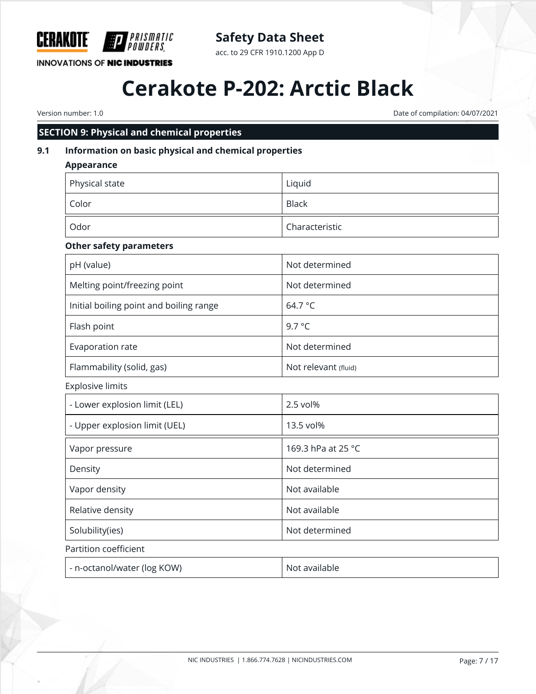

# **Safety Data Sheet**

acc. to 29 CFR 1910.1200 App D

# **Cerakote P-202: Arctic Black**

Version number: 1.0 Date of compilation: 04/07/2021

# **SECTION 9: Physical and chemical properties**

# **9.1 Information on basic physical and chemical properties**

| <b>Appearance</b>                       |                      |
|-----------------------------------------|----------------------|
| Physical state                          | Liquid               |
| Color                                   | <b>Black</b>         |
| Odor                                    | Characteristic       |
| <b>Other safety parameters</b>          |                      |
| pH (value)                              | Not determined       |
| Melting point/freezing point            | Not determined       |
| Initial boiling point and boiling range | 64.7 °C              |
| Flash point                             | 9.7 °C               |
| Evaporation rate                        | Not determined       |
| Flammability (solid, gas)               | Not relevant (fluid) |
| <b>Explosive limits</b>                 |                      |
| - Lower explosion limit (LEL)           | 2.5 vol%             |
| - Upper explosion limit (UEL)           | 13.5 vol%            |
| Vapor pressure                          | 169.3 hPa at 25 °C   |
| Density                                 | Not determined       |
| Vapor density                           | Not available        |
| Relative density                        | Not available        |
| Solubility(ies)                         | Not determined       |
| Partition coefficient                   |                      |
| - n-octanol/water (log KOW)             | Not available        |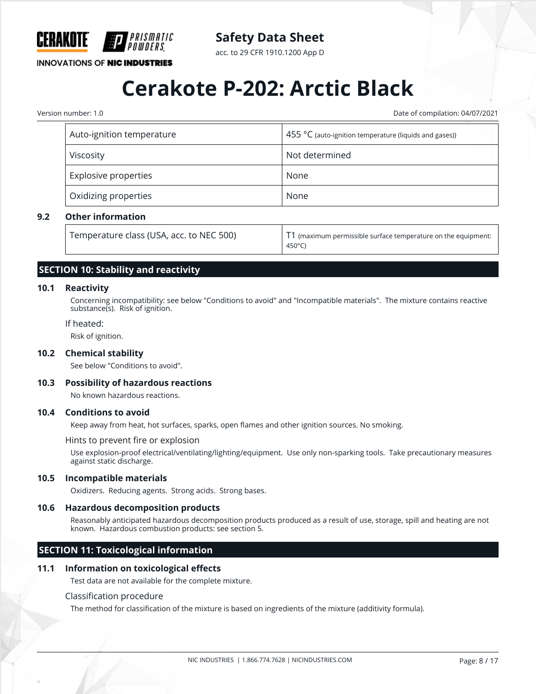

acc. to 29 CFR 1910.1200 App D

**INNOVATIONS OF NIC INDUSTRIES** 

# **Cerakote P-202: Arctic Black**

Version number: 1.0 Date of compilation: 04/07/2021

| Auto-ignition temperature | 455 $\degree$ C (auto-ignition temperature (liquids and gases)) |  |  |
|---------------------------|-----------------------------------------------------------------|--|--|
| Viscosity                 | Not determined                                                  |  |  |
| Explosive properties      | None                                                            |  |  |
| Oxidizing properties      | None                                                            |  |  |

# **9.2 Other information**

| Temperature class (USA, acc. to NEC 500) | $\mid$ T1 (maximum permissible surface temperature on the equipment: |
|------------------------------------------|----------------------------------------------------------------------|
|                                          | 450°C)                                                               |

# **SECTION 10: Stability and reactivity**

## **10.1 Reactivity**

Concerning incompatibility: see below "Conditions to avoid" and "Incompatible materials". The mixture contains reactive substance(s). Risk of ignition.

#### If heated:

Risk of ignition.

#### **10.2 Chemical stability**

See below "Conditions to avoid".

#### **10.3 Possibility of hazardous reactions**

No known hazardous reactions.

### **10.4 Conditions to avoid**

Keep away from heat, hot surfaces, sparks, open flames and other ignition sources. No smoking.

#### Hints to prevent fire or explosion

Use explosion-proof electrical/ventilating/lighting/equipment. Use only non-sparking tools. Take precautionary measures against static discharge.

### **10.5 Incompatible materials**

Oxidizers. Reducing agents. Strong acids. Strong bases.

#### **10.6 Hazardous decomposition products**

Reasonably anticipated hazardous decomposition products produced as a result of use, storage, spill and heating are not known. Hazardous combustion products: see section 5.

# **SECTION 11: Toxicological information**

#### **11.1 Information on toxicological effects**

Test data are not available for the complete mixture.

#### Classification procedure

The method for classification of the mixture is based on ingredients of the mixture (additivity formula).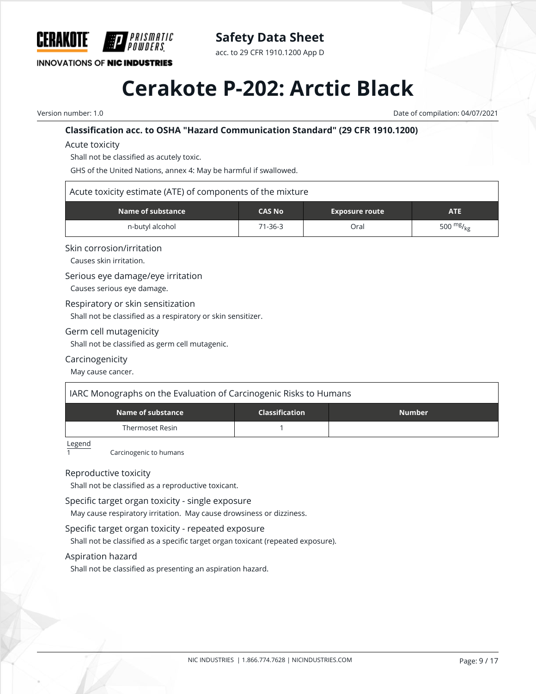

acc. to 29 CFR 1910.1200 App D

**INNOVATIONS OF NIC INDUSTRIES** 

# **Cerakote P-202: Arctic Black**

Version number: 1.0 Date of compilation: 04/07/2021

# **Classification acc. to OSHA "Hazard Communication Standard" (29 CFR 1910.1200)**

Acute toxicity

Shall not be classified as acutely toxic.

PRISMATIC

GHS of the United Nations, annex 4: May be harmful if swallowed.

## Acute toxicity estimate (ATE) of components of the mixture

| $\blacksquare$ Name of substance $\blacksquare$ | <b>CAS No</b><br><b>Exposure route</b> |      | ATE            |  |
|-------------------------------------------------|----------------------------------------|------|----------------|--|
| n-butyl alcohol                                 | $71 - 36 - 3$                          | Oral | 500 $mg/_{kg}$ |  |

## Skin corrosion/irritation

Causes skin irritation.

## Serious eye damage/eye irritation

Causes serious eye damage.

Respiratory or skin sensitization

Shall not be classified as a respiratory or skin sensitizer.

## Germ cell mutagenicity

Shall not be classified as germ cell mutagenic.

## Carcinogenicity

May cause cancer.

| IARC Monographs on the Evaluation of Carcinogenic Risks to Humans |                       |               |  |  |  |  |
|-------------------------------------------------------------------|-----------------------|---------------|--|--|--|--|
| Name of substance                                                 | <b>Classification</b> | <b>Number</b> |  |  |  |  |
| Thermoset Resin                                                   |                       |               |  |  |  |  |

Legend

Carcinogenic to humans

## Reproductive toxicity

Shall not be classified as a reproductive toxicant.

## Specific target organ toxicity - single exposure

May cause respiratory irritation. May cause drowsiness or dizziness.

## Specific target organ toxicity - repeated exposure

Shall not be classified as a specific target organ toxicant (repeated exposure).

## Aspiration hazard

Shall not be classified as presenting an aspiration hazard.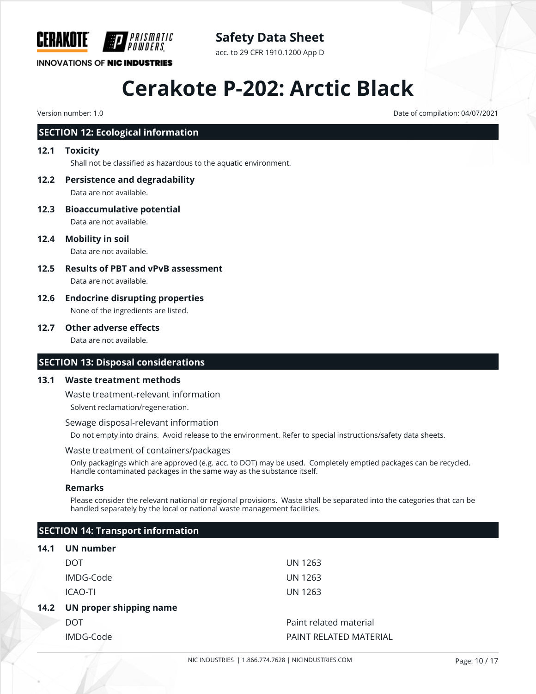

# **Safety Data Sheet**

acc. to 29 CFR 1910.1200 App D

# **Cerakote P-202: Arctic Black**

Version number: 1.0 Date of compilation: 04/07/2021

# **SECTION 12: Ecological information**

# **12.1 Toxicity**

Shall not be classified as hazardous to the aquatic environment.

- **12.2 Persistence and degradability** Data are not available.
- **12.3 Bioaccumulative potential** Data are not available.
- **12.4 Mobility in soil**

Data are not available.

- **12.5 Results of PBT and vPvB assessment** Data are not available.
- **12.6 Endocrine disrupting properties** None of the ingredients are listed.

#### **12.7 Other adverse effects**

Data are not available.

# **SECTION 13: Disposal considerations**

## **13.1 Waste treatment methods**

Waste treatment-relevant information

Solvent reclamation/regeneration.

Sewage disposal-relevant information

Do not empty into drains. Avoid release to the environment. Refer to special instructions/safety data sheets.

#### Waste treatment of containers/packages

Only packagings which are approved (e.g. acc. to DOT) may be used. Completely emptied packages can be recycled. Handle contaminated packages in the same way as the substance itself.

## **Remarks**

Please consider the relevant national or regional provisions. Waste shall be separated into the categories that can be handled separately by the local or national waste management facilities.

# **SECTION 14: Transport information**

| 14.1 | UN number               |                        |
|------|-------------------------|------------------------|
|      | DOT                     | UN 1263                |
|      | IMDG-Code               | UN 1263                |
|      | ICAO-TI                 | <b>UN 1263</b>         |
| 14.2 | UN proper shipping name |                        |
|      | DOT                     | Paint related material |
|      | IMDG-Code               | PAINT RELATED MATERIAL |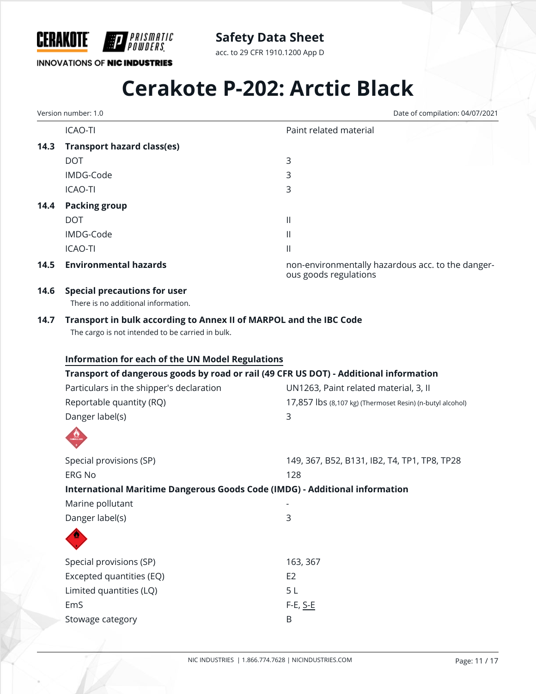

acc. to 29 CFR 1910.1200 App D

# **INNOVATIONS OF NIC INDUSTRIES**

# **Cerakote P-202: Arctic Black**

Version number: 1.0 Date of compilation: 04/07/2021

|      | <b>ICAO-TI</b>                                                                                                         | Paint related material                                                     |  |  |  |
|------|------------------------------------------------------------------------------------------------------------------------|----------------------------------------------------------------------------|--|--|--|
| 14.3 | <b>Transport hazard class(es)</b>                                                                                      |                                                                            |  |  |  |
|      | <b>DOT</b>                                                                                                             | $\mathsf{3}$                                                               |  |  |  |
|      | IMDG-Code                                                                                                              | 3                                                                          |  |  |  |
|      | <b>ICAO-TI</b>                                                                                                         | 3                                                                          |  |  |  |
| 14.4 | <b>Packing group</b>                                                                                                   |                                                                            |  |  |  |
|      | <b>DOT</b>                                                                                                             | $\mathbf{  }$                                                              |  |  |  |
|      | IMDG-Code                                                                                                              | $\mathbf{  }$                                                              |  |  |  |
|      | <b>ICAO-TI</b>                                                                                                         | $\begin{array}{c} \hline \end{array}$                                      |  |  |  |
| 14.5 | <b>Environmental hazards</b>                                                                                           | non-environmentally hazardous acc. to the danger-<br>ous goods regulations |  |  |  |
| 14.6 | <b>Special precautions for user</b><br>There is no additional information.                                             |                                                                            |  |  |  |
| 14.7 | Transport in bulk according to Annex II of MARPOL and the IBC Code<br>The cargo is not intended to be carried in bulk. |                                                                            |  |  |  |
|      | <b>Information for each of the UN Model Regulations</b>                                                                |                                                                            |  |  |  |
|      | Transport of dangerous goods by road or rail (49 CFR US DOT) - Additional information                                  |                                                                            |  |  |  |
|      | Particulars in the shipper's declaration                                                                               | UN1263, Paint related material, 3, II                                      |  |  |  |
|      | Reportable quantity (RQ)                                                                                               | 17,857 lbs (8,107 kg) (Thermoset Resin) (n-butyl alcohol)                  |  |  |  |
|      | Danger label(s)                                                                                                        | $\mathbf{3}$                                                               |  |  |  |
|      |                                                                                                                        |                                                                            |  |  |  |
|      | Special provisions (SP)                                                                                                | 149, 367, B52, B131, IB2, T4, TP1, TP8, TP28                               |  |  |  |
|      | <b>ERG No</b>                                                                                                          | 128                                                                        |  |  |  |
|      | International Maritime Dangerous Goods Code (IMDG) - Additional information                                            |                                                                            |  |  |  |
|      | Marine pollutant                                                                                                       |                                                                            |  |  |  |
|      | Danger label(s)                                                                                                        | 3                                                                          |  |  |  |
|      |                                                                                                                        |                                                                            |  |  |  |
|      | Special provisions (SP)                                                                                                | 163, 367                                                                   |  |  |  |
|      | Excepted quantities (EQ)                                                                                               | E <sub>2</sub>                                                             |  |  |  |
|      | Limited quantities (LQ)                                                                                                | 5L                                                                         |  |  |  |
|      | EmS                                                                                                                    | $F-E$ , $S-E$                                                              |  |  |  |
|      | Stowage category                                                                                                       | B                                                                          |  |  |  |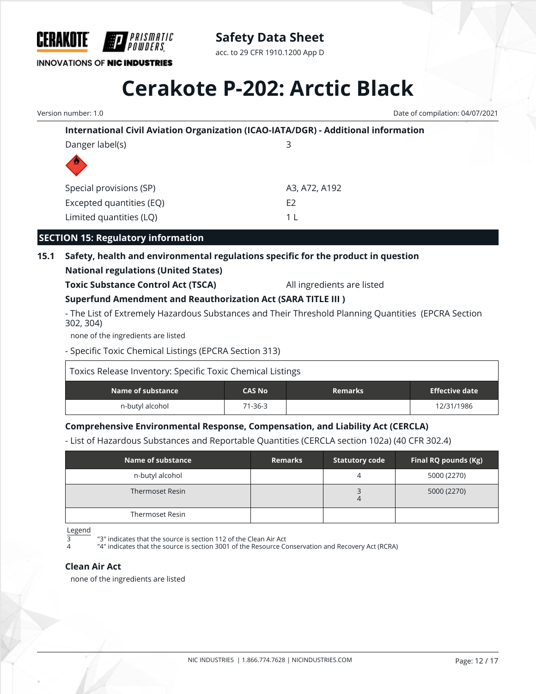

acc. to 29 CFR 1910.1200 App D

# **Cerakote P-202: Arctic Black**

**International Civil Aviation Organization (ICAO-IATA/DGR) - Additional information** Danger label(s) 3 Special provisions (SP) A3, A72, A192 Excepted quantities (EQ) EXCEPTED E2 Limited quantities (LQ) 1 L **SECTION 15: Regulatory information 15.1 Safety, health and environmental regulations specific for the product in question National regulations (United States) Toxic Substance Control Act (TSCA)** All ingredients are listed **Superfund Amendment and Reauthorization Act (SARA TITLE III )** - The List of Extremely Hazardous Substances and Their Threshold Planning Quantities (EPCRA Section 302, 304) none of the ingredients are listed - Specific Toxic Chemical Listings (EPCRA Section 313) Toxics Release Inventory: Specific Toxic Chemical Listings **Name of substance CAS No Remarks Effective date** n-butyl alcohol 12/31/1986 12/31/1986 **Comprehensive Environmental Response, Compensation, and Liability Act (CERCLA)** - List of Hazardous Substances and Reportable Quantities (CERCLA section 102a) (40 CFR 302.4) **Name of substance Remarks Statutory code Final RQ pounds (Kg)** Version number: 1.0 Date of compilation: 04/07/2021

| Name of substance | <b>Remarks</b> | <b>Statutory code</b> | Final RQ pounds (Kg) |
|-------------------|----------------|-----------------------|----------------------|
| n-butyl alcohol   |                |                       | 5000 (2270)          |
| Thermoset Resin   |                | 4                     | 5000 (2270)          |
| Thermoset Resin   |                |                       |                      |

Legend

<sup>3</sup> <sup>"3"</sup> indicates that the source is section 112 of the Clean Air Act

"4" indicates that the source is section 3001 of the Resource Conservation and Recovery Act (RCRA)

## **Clean Air Act**

none of the ingredients are listed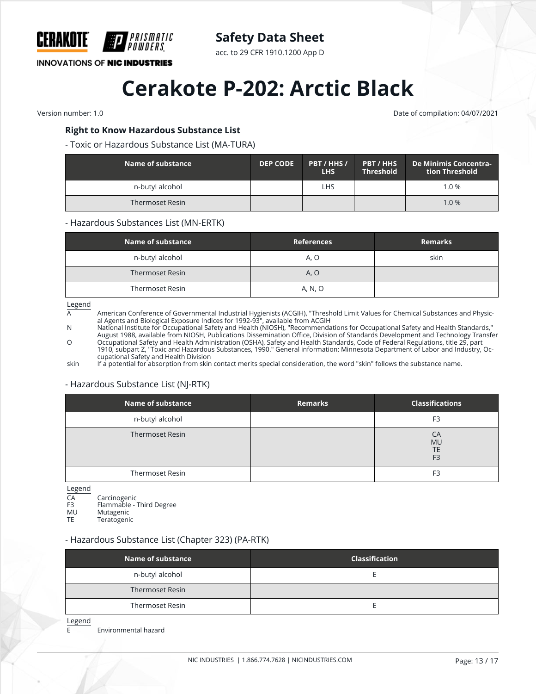

acc. to 29 CFR 1910.1200 App D

**INNOVATIONS OF NIC INDUSTRIES** 

# **Cerakote P-202: Arctic Black**

Version number: 1.0 Date of compilation: 04/07/2021

# **Right to Know Hazardous Substance List**

PRISMATIC

## - Toxic or Hazardous Substance List (MA-TURA)

| Name of substance | <b>DEP CODE</b> | PBT / HHS /<br>LHS | <b>PBT / HHS</b><br><b>Threshold</b> | De Minimis Concentra-<br>tion Threshold |
|-------------------|-----------------|--------------------|--------------------------------------|-----------------------------------------|
| n-butyl alcohol   |                 | <b>LHS</b>         |                                      | $1.0 \%$                                |
| Thermoset Resin   |                 |                    |                                      | 1.0%                                    |

#### - Hazardous Substances List (MN-ERTK)

| Name of substance      | <b>References</b> | <b>Remarks</b> |
|------------------------|-------------------|----------------|
| n-butyl alcohol        | A, O              | skin           |
| <b>Thermoset Resin</b> | A, O              |                |
| Thermoset Resin        | A, N, O           |                |

 $\frac{\text{Legend}}{\text{A}}$ 

American Conference of Governmental Industrial Hygienists (ACGIH), "Threshold Limit Values for Chemical Substances and Physical Agents and Biological Exposure Indices for 1992-93", available from ACGIH

N National Institute for Occupational Safety and Health (NIOSH), "Recommendations for Occupational Safety and Health Standards," August 1988, available from NIOSH, Publications Dissemination Office, Division of Standards Development and Technology Transfer O Occupational Safety and Health Administration (OSHA), Safety and Health Standards, Code of Federal Regulations, title 29, part

1910, subpart Z, "Toxic and Hazardous Substances, 1990." General information: Minnesota Department of Labor and Industry, Occupational Safety and Health Division

skin If a potential for absorption from skin contact merits special consideration, the word "skin" follows the substance name.

# - Hazardous Substance List (NJ-RTK)

| F <sub>3</sub>                                 |
|------------------------------------------------|
| CA<br><b>MU</b><br><b>TE</b><br>F <sub>3</sub> |
| F3                                             |
|                                                |

Legend<br>CA

CA Carcinogenic<br>F3 Flammable -

F3 Flammable - Third Degree<br>MU Mutagenic

MU Mutagenic<br>TF Teratogeni **Teratogenic** 

# - Hazardous Substance List (Chapter 323) (PA-RTK)

| Name of substance      | <b>Classification</b> |
|------------------------|-----------------------|
| n-butyl alcohol        |                       |
| <b>Thermoset Resin</b> |                       |
| Thermoset Resin        |                       |

Legend

E Environmental hazard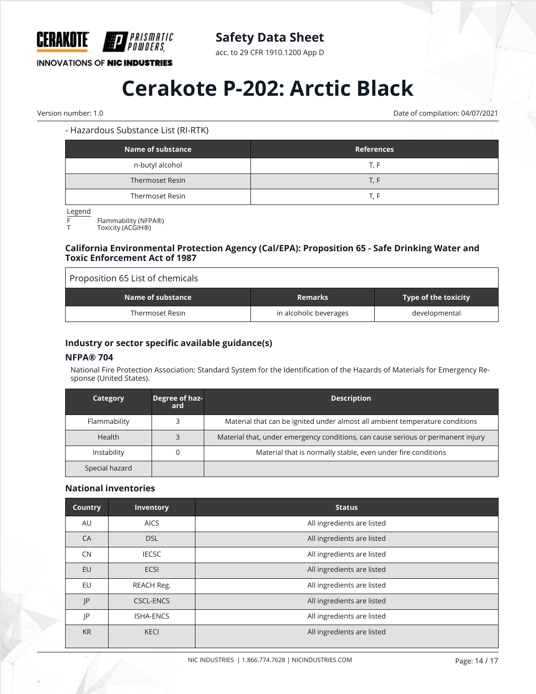

acc. to 29 CFR 1910.1200 App D

**INNOVATIONS OF NIC INDUSTRIES** 

# **Cerakote P-202: Arctic Black**

Version number: 1.0 Date of compilation: 04/07/2021

# - Hazardous Substance List (RI-RTK)

| Name of substance | <b>References</b> |
|-------------------|-------------------|
| n-butyl alcohol   | T. F              |
| Thermoset Resin   | T. F.             |
| Thermoset Resin   | T. F              |

Legend

F Flammability (NFPA®)

Toxicity (ACGIH®)

## **California Environmental Protection Agency (Cal/EPA): Proposition 65 - Safe Drinking Water and Toxic Enforcement Act of 1987**

| Proposition 65 List of chemicals |                        |                                     |  |
|----------------------------------|------------------------|-------------------------------------|--|
| Name of substance                | <b>Remarks</b>         | Type of the toxicity $\overline{ }$ |  |
| <b>Thermoset Resin</b>           | in alcoholic beverages | developmental                       |  |

# **Industry or sector specific available guidance(s)**

# **NFPA® 704**

National Fire Protection Association: Standard System for the Identification of the Hazards of Materials for Emergency Response (United States).

| Category       | Degree of haz-<br>ard. | <b>Description</b>                                                               |
|----------------|------------------------|----------------------------------------------------------------------------------|
| Flammability   |                        | Material that can be ignited under almost all ambient temperature conditions     |
| <b>Health</b>  |                        | Material that, under emergency conditions, can cause serious or permanent injury |
| Instability    |                        | Material that is normally stable, even under fire conditions                     |
| Special hazard |                        |                                                                                  |

## **National inventories**

| <b>Country</b> | Inventory        | <b>Status</b>              |
|----------------|------------------|----------------------------|
| AU             | <b>AICS</b>      | All ingredients are listed |
| CA             | <b>DSL</b>       | All ingredients are listed |
| <b>CN</b>      | <b>IECSC</b>     | All ingredients are listed |
| <b>EU</b>      | <b>ECSI</b>      | All ingredients are listed |
| EU             | REACH Reg.       | All ingredients are listed |
| JP             | <b>CSCL-ENCS</b> | All ingredients are listed |
| P              | <b>ISHA-ENCS</b> | All ingredients are listed |
| <b>KR</b>      | <b>KECI</b>      | All ingredients are listed |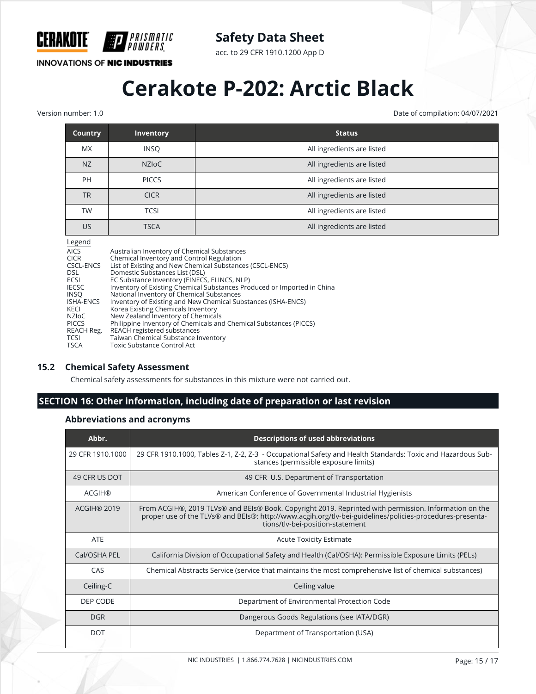

acc. to 29 CFR 1910.1200 App D

**INNOVATIONS OF NIC INDUSTRIES** 

PRISMATIC

# **Cerakote P-202: Arctic Black**

Version number: 1.0 Date of compilation: 04/07/2021

| <b>Country</b> | <b>Inventory</b> | <b>Status</b>              |
|----------------|------------------|----------------------------|
| <b>MX</b>      | <b>INSQ</b>      | All ingredients are listed |
| <b>NZ</b>      | <b>NZIOC</b>     | All ingredients are listed |
| PH             | <b>PICCS</b>     | All ingredients are listed |
| <b>TR</b>      | <b>CICR</b>      | All ingredients are listed |
| <b>TW</b>      | <b>TCSI</b>      | All ingredients are listed |
| <b>US</b>      | <b>TSCA</b>      | All ingredients are listed |

#### Legend

| Luguru       |                                                                         |
|--------------|-------------------------------------------------------------------------|
| <b>AICS</b>  | Australian Inventory of Chemical Substances                             |
| CICR         | Chemical Inventory and Control Regulation                               |
| CSCL-ENCS    | List of Existing and New Chemical Substances (CSCL-ENCS)                |
| DSL          | Domestic Substances List (DSL)                                          |
| ECSI         | EC Substance Inventory (EINECS, ELINCS, NLP)                            |
| <b>IECSC</b> | Inventory of Existing Chemical Substances Produced or Imported in China |
| INSO         | National Inventory of Chemical Substances                               |
| ISHA-ENCS    | Inventory of Existing and New Chemical Substances (ISHA-ENCS)           |
| KECI         | Korea Existing Chemicals Inventory                                      |
| NZIoC        | New Zealand Inventory of Chemicals                                      |
| <b>PICCS</b> | Philippine Inventory of Chemicals and Chemical Substances (PICCS)       |
| REACH Reg.   | REACH registered substances                                             |
| TCSI         | Taiwan Chemical Substance Inventory                                     |
| TSCA         | Toxic Substance Control Act                                             |
|              |                                                                         |

# **15.2 Chemical Safety Assessment**

Chemical safety assessments for substances in this mixture were not carried out.

# **SECTION 16: Other information, including date of preparation or last revision**

# **Abbreviations and acronyms**

| Abbr.              | <b>Descriptions of used abbreviations</b>                                                                                                                                                                                                             |
|--------------------|-------------------------------------------------------------------------------------------------------------------------------------------------------------------------------------------------------------------------------------------------------|
| 29 CFR 1910.1000   | 29 CFR 1910.1000, Tables Z-1, Z-2, Z-3 - Occupational Safety and Health Standards: Toxic and Hazardous Sub-<br>stances (permissible exposure limits)                                                                                                  |
| 49 CFR US DOT      | 49 CFR U.S. Department of Transportation                                                                                                                                                                                                              |
| <b>ACGIH®</b>      | American Conference of Governmental Industrial Hygienists                                                                                                                                                                                             |
| <b>ACGIH® 2019</b> | From ACGIH®, 2019 TLVs® and BEIs® Book. Copyright 2019. Reprinted with permission. Information on the<br>proper use of the TLVs® and BEIs®: http://www.acgih.org/tlv-bei-guidelines/policies-procedures-presenta-<br>tions/tlv-bei-position-statement |
| <b>ATE</b>         | <b>Acute Toxicity Estimate</b>                                                                                                                                                                                                                        |
| Cal/OSHA PEL       | California Division of Occupational Safety and Health (Cal/OSHA): Permissible Exposure Limits (PELs)                                                                                                                                                  |
| CAS                | Chemical Abstracts Service (service that maintains the most comprehensive list of chemical substances)                                                                                                                                                |
| Ceiling-C          | Ceiling value                                                                                                                                                                                                                                         |
| DEP CODE           | Department of Environmental Protection Code                                                                                                                                                                                                           |
| <b>DGR</b>         | Dangerous Goods Regulations (see IATA/DGR)                                                                                                                                                                                                            |
| <b>DOT</b>         | Department of Transportation (USA)                                                                                                                                                                                                                    |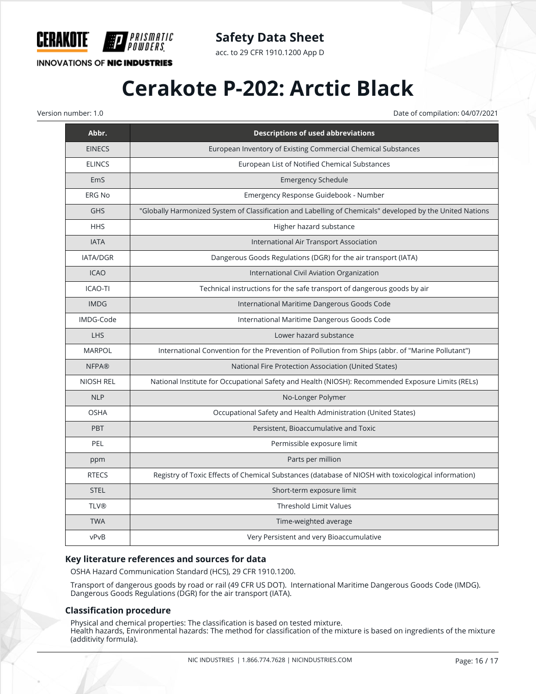

acc. to 29 CFR 1910.1200 App D

# **INNOVATIONS OF NIC INDUSTRIES**

**HIP** PRISMATIC<br>Hipowders

# **Cerakote P-202: Arctic Black**

Version number: 1.0 Date of compilation: 04/07/2021

| Abbr.            | <b>Descriptions of used abbreviations</b>                                                                 |
|------------------|-----------------------------------------------------------------------------------------------------------|
| <b>EINECS</b>    | European Inventory of Existing Commercial Chemical Substances                                             |
| <b>ELINCS</b>    | European List of Notified Chemical Substances                                                             |
| EmS              | <b>Emergency Schedule</b>                                                                                 |
| <b>ERG No</b>    | Emergency Response Guidebook - Number                                                                     |
| <b>GHS</b>       | "Globally Harmonized System of Classification and Labelling of Chemicals" developed by the United Nations |
| <b>HHS</b>       | Higher hazard substance                                                                                   |
| <b>IATA</b>      | International Air Transport Association                                                                   |
| IATA/DGR         | Dangerous Goods Regulations (DGR) for the air transport (IATA)                                            |
| <b>ICAO</b>      | International Civil Aviation Organization                                                                 |
| <b>ICAO-TI</b>   | Technical instructions for the safe transport of dangerous goods by air                                   |
| <b>IMDG</b>      | International Maritime Dangerous Goods Code                                                               |
| IMDG-Code        | International Maritime Dangerous Goods Code                                                               |
| <b>LHS</b>       | Lower hazard substance                                                                                    |
| <b>MARPOL</b>    | International Convention for the Prevention of Pollution from Ships (abbr. of "Marine Pollutant")         |
| <b>NFPA®</b>     | National Fire Protection Association (United States)                                                      |
| <b>NIOSH REL</b> | National Institute for Occupational Safety and Health (NIOSH): Recommended Exposure Limits (RELs)         |
| <b>NLP</b>       | No-Longer Polymer                                                                                         |
| <b>OSHA</b>      | Occupational Safety and Health Administration (United States)                                             |
| <b>PBT</b>       | Persistent, Bioaccumulative and Toxic                                                                     |
| PEL              | Permissible exposure limit                                                                                |
| ppm              | Parts per million                                                                                         |
| <b>RTECS</b>     | Registry of Toxic Effects of Chemical Substances (database of NIOSH with toxicological information)       |
| <b>STEL</b>      | Short-term exposure limit                                                                                 |
| <b>TLV®</b>      | <b>Threshold Limit Values</b>                                                                             |
| <b>TWA</b>       | Time-weighted average                                                                                     |
| vPvB             | Very Persistent and very Bioaccumulative                                                                  |

## **Key literature references and sources for data**

OSHA Hazard Communication Standard (HCS), 29 CFR 1910.1200.

Transport of dangerous goods by road or rail (49 CFR US DOT). International Maritime Dangerous Goods Code (IMDG). Dangerous Goods Regulations (DGR) for the air transport (IATA).

## **Classification procedure**

Physical and chemical properties: The classification is based on tested mixture. Health hazards, Environmental hazards: The method for classification of the mixture is based on ingredients of the mixture (additivity formula).